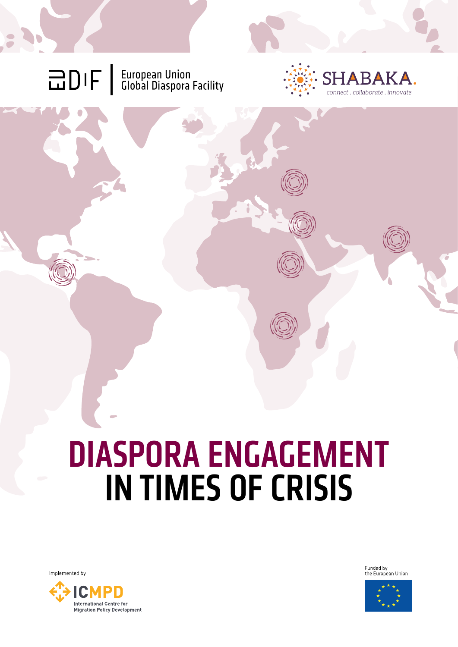**OIF** | European Union<br>
Global Diaspora Facility



# DIASPORA ENGAGEMENT IN TIMES OF CRISIS

Implemented by



Funded by<br>the European Union

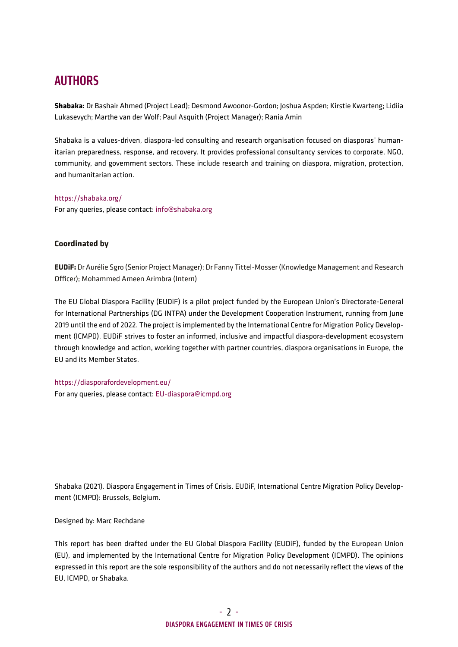#### **AUTHORS**

**[Shabaka](https://shabaka.org/):** Dr Bashair Ahmed (Project Lead); Desmond Awoonor-Gordon; Joshua Aspden; Kirstie Kwarteng; Lidiia Lukasevych; Marthe van der Wolf; Paul Asquith (Project Manager); Rania Amin

Shabaka is a values-driven, diaspora-led consulting and research organisation focused on diasporas' humanitarian preparedness, response, and recovery. It provides professional consultancy services to corporate, NGO, community, and government sectors. These include research and training on diaspora, migration, protection, and humanitarian action.

<https://shabaka.org/>

For any queries, please contact: [info@shabaka.org](mailto:info@shabaka.org)

#### **Coordinated by**

**[EUDiF](https://diasporafordevelopment.eu/):** Dr Aurélie Sgro (Senior Project Manager); Dr Fanny Tittel-Mosser (Knowledge Management and Research Officer); Mohammed Ameen Arimbra (Intern)

The EU Global Diaspora Facility (EUDiF) is a pilot project funded by the European Union's Directorate-General for International Partnerships (DG INTPA) under the Development Cooperation Instrument, running from June 2019 until the end of 2022. The project is implemented by the International Centre for Migration Policy Development (ICMPD). EUDiF strives to foster an informed, inclusive and impactful diaspora-development ecosystem through knowledge and action, working together with partner countries, diaspora organisations in Europe, the EU and its Member States.

<https://diasporafordevelopment.eu/> For any queries, please contact: [EU-diaspora@icmpd.org](mailto:EU-diaspora@icmpd.org)

Shabaka (2021). Diaspora Engagement in Times of Crisis. EUDiF, International Centre Migration Policy Development (ICMPD): Brussels, Belgium.

Designed by: Marc Rechdane

This report has been drafted under the EU Global Diaspora Facility (EUDiF), funded by the European Union (EU), and implemented by the International Centre for Migration Policy Development (ICMPD). The opinions expressed in this report are the sole responsibility of the authors and do not necessarily reflect the views of the EU, ICMPD, or Shabaka.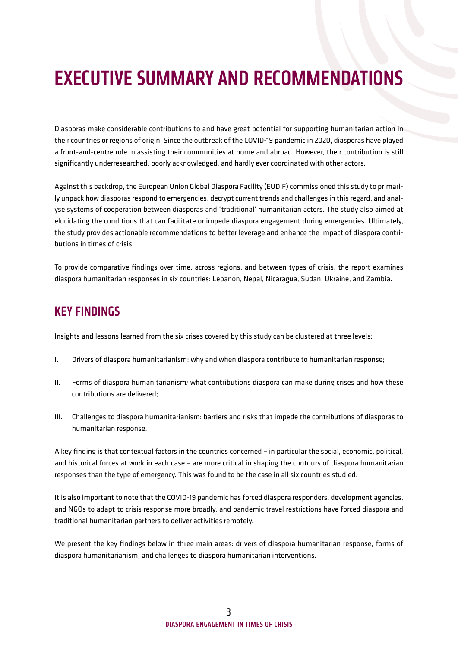## EXECUTIVE SUMMARY AND RECOMMENDATIONS

Diasporas make considerable contributions to and have great potential for supporting humanitarian action in their countries or regions of origin. Since the outbreak of the COVID-19 pandemic in 2020, diasporas have played a front-and-centre role in assisting their communities at home and abroad. However, their contribution is still significantly underresearched, poorly acknowledged, and hardly ever coordinated with other actors.

Against this backdrop, the European Union Global Diaspora Facility (EUDiF) commissioned this study to primarily unpack how diasporas respond to emergencies, decrypt current trends and challenges in this regard, and analyse systems of cooperation between diasporas and 'traditional' humanitarian actors. The study also aimed at elucidating the conditions that can facilitate or impede diaspora engagement during emergencies. Ultimately, the study provides actionable recommendations to better leverage and enhance the impact of diaspora contributions in times of crisis.

To provide comparative findings over time, across regions, and between types of crisis, the report examines diaspora humanitarian responses in six countries: Lebanon, Nepal, Nicaragua, Sudan, Ukraine, and Zambia.

#### KEY FINDINGS

Insights and lessons learned from the six crises covered by this study can be clustered at three levels:

- I. Drivers of diaspora humanitarianism: why and when diaspora contribute to humanitarian response;
- II. Forms of diaspora humanitarianism*:* what contributions diaspora can make during crises and how these contributions are delivered;
- III. Challenges to diaspora humanitarianism: barriers and risks that impede the contributions of diasporas to humanitarian response.

A key finding is that contextual factors in the countries concerned – in particular the social, economic, political, and historical forces at work in each case – are more critical in shaping the contours of diaspora humanitarian responses than the type of emergency. This was found to be the case in all six countries studied.

It is also important to note that the COVID-19 pandemic has forced diaspora responders, development agencies, and NGOs to adapt to crisis response more broadly, and pandemic travel restrictions have forced diaspora and traditional humanitarian partners to deliver activities remotely.

We present the key findings below in three main areas: drivers of diaspora humanitarian response, forms of diaspora humanitarianism, and challenges to diaspora humanitarian interventions.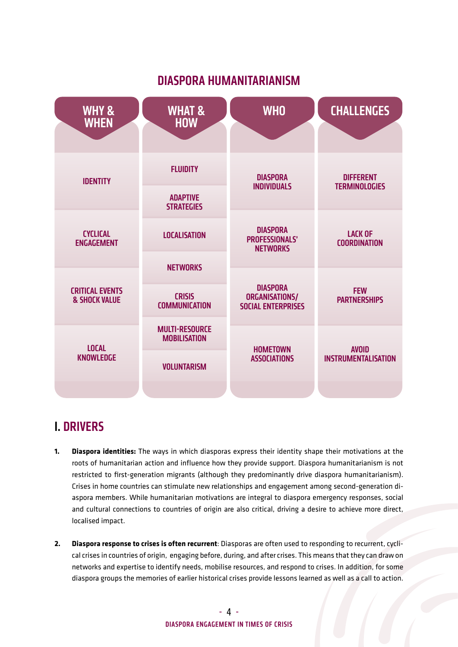#### DIASPORA HUMANITARIANISM



#### I. DRIVERS

- **1. Diaspora identities:** The ways in which diasporas express their identity shape their motivations at the roots of humanitarian action and influence how they provide support. Diaspora humanitarianism is not restricted to first-generation migrants (although they predominantly drive diaspora humanitarianism). Crises in home countries can stimulate new relationships and engagement among second-generation diaspora members. While humanitarian motivations are integral to diaspora emergency responses, social and cultural connections to countries of origin are also critical, driving a desire to achieve more direct, localised impact.
- **2. Diaspora response to crises is often recurrent**: Diasporas are often used to responding to recurrent, cyclical crises in countries of origin, engaging before, during, and after crises. This means that they can draw on networks and expertise to identify needs, mobilise resources, and respond to crises. In addition, for some diaspora groups the memories of earlier historical crises provide lessons learned as well as a call to action.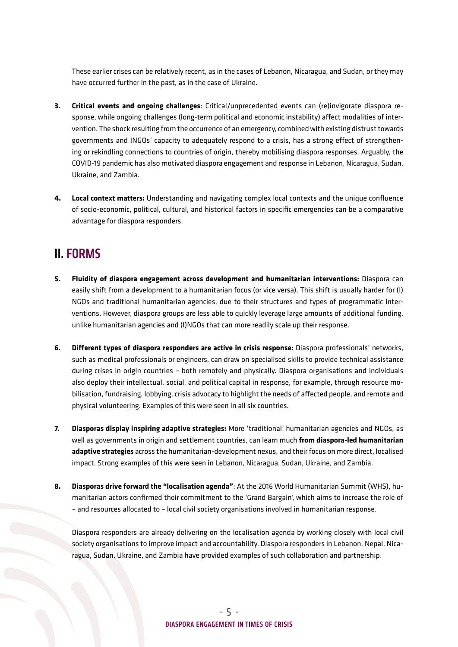These earlier crises can be relatively recent, as in the cases of Lebanon, Nicaragua, and Sudan, or they may have occurred further in the past, as in the case of Ukraine.

- **3. Critical events and ongoing challenges**: Critical/unprecedented events can (re)invigorate diaspora response, while ongoing challenges (long-term political and economic instability) affect modalities of intervention. The shock resulting from the occurrence of an emergency, combined with existing distrust towards governments and INGOs' capacity to adequately respond to a crisis, has a strong effect of strengthening or rekindling connections to countries of origin, thereby mobilising diaspora responses. Arguably, the COVID-19 pandemic has also motivated diaspora engagement and response in Lebanon, Nicaragua, Sudan, Ukraine, and Zambia.
- **4. Local context matters:** Understanding and navigating complex local contexts and the unique confluence of socio-economic, political, cultural, and historical factors in specific emergencies can be a comparative advantage for diaspora responders.

#### II. FORMS

- **5. Fluidity of diaspora engagement across development and humanitarian interventions:** Diaspora can easily shift from a development to a humanitarian focus (or vice versa). This shift is usually harder for (I) NGOs and traditional humanitarian agencies, due to their structures and types of programmatic interventions. However, diaspora groups are less able to quickly leverage large amounts of additional funding, unlike humanitarian agencies and (I)NGOs that can more readily scale up their response.
- **6. Different types of diaspora responders are active in crisis response:** Diaspora professionals' networks, such as medical professionals or engineers, can draw on specialised skills to provide technical assistance during crises in origin countries – both remotely and physically. Diaspora organisations and individuals also deploy their intellectual, social, and political capital in response, for example, through resource mobilisation, fundraising, lobbying, crisis advocacy to highlight the needs of affected people, and remote and physical volunteering. Examples of this were seen in all six countries.
- **7. Diasporas display inspiring adaptive strategies:** More 'traditional' humanitarian agencies and NGOs, as well as governments in origin and settlement countries, can learn much **from diaspora-led humanitarian adaptive strategies** across the humanitarian-development nexus, and their focus on more direct, localised impact. Strong examples of this were seen in Lebanon, Nicaragua, Sudan, Ukraine, and Zambia.
- **8. Diasporas drive forward the "localisation agenda"**: At the 2016 World Humanitarian Summit (WHS), humanitarian actors confirmed their commitment to the 'Grand Bargain', which aims to increase the role of – and resources allocated to – local civil society organisations involved in humanitarian response.

Diaspora responders are already delivering on the localisation agenda by working closely with local civil society organisations to improve impact and accountability. Diaspora responders in Lebanon, Nepal, Nicaragua, Sudan, Ukraine, and Zambia have provided examples of such collaboration and partnership.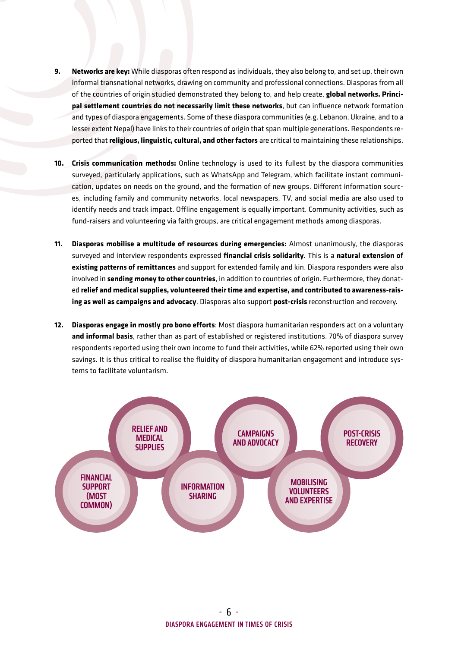- **9. Networks are key:** While diasporas often respond as individuals, they also belong to, and set up, their own informal transnational networks, drawing on community and professional connections. Diasporas from all of the countries of origin studied demonstrated they belong to, and help create, **global networks. Principal settlement countries do not necessarily limit these networks**, but can influence network formation and types of diaspora engagements. Some of these diaspora communities (e.g. Lebanon, Ukraine, and to a lesser extent Nepal) have links to their countries of origin that span multiple generations. Respondents reported that **religious, linguistic, cultural, and other factors** are critical to maintaining these relationships.
- **10. Crisis communication methods:** Online technology is used to its fullest by the diaspora communities surveyed, particularly applications, such as WhatsApp and Telegram, which facilitate instant communication, updates on needs on the ground, and the formation of new groups. Different information sources, including family and community networks, local newspapers, TV, and social media are also used to identify needs and track impact. Offline engagement is equally important. Community activities, such as fund-raisers and volunteering via faith groups, are critical engagement methods among diasporas.
- **11. Diasporas mobilise a multitude of resources during emergencies:** Almost unanimously, the diasporas surveyed and interview respondents expressed **financial crisis solidarity**. This is a **natural extension of existing patterns of remittances** and support for extended family and kin. Diaspora responders were also involved in **sending money to other countries**, in addition to countries of origin. Furthermore, they donated **relief and medical supplies, volunteered their time and expertise, and contributed to awareness-raising as well as campaigns and advocacy**. Diasporas also support **post-crisis** reconstruction and recovery.
- **12. Diasporas engage in mostly pro bono efforts**: Most diaspora humanitarian responders act on a voluntary **and informal basis**, rather than as part of established or registered institutions. 70% of diaspora survey respondents reported using their own income to fund their activities, while 62% reported using their own savings. It is thus critical to realise the fluidity of diaspora humanitarian engagement and introduce systems to facilitate voluntarism.

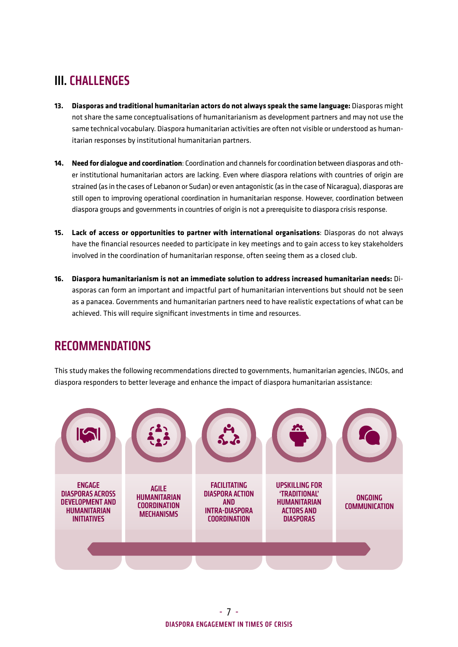#### III. CHALLENGES

- **13. Diasporas and traditional humanitarian actors do not always speak the same language:** Diasporas might not share the same conceptualisations of humanitarianism as development partners and may not use the same technical vocabulary. Diaspora humanitarian activities are often not visible or understood as humanitarian responses by institutional humanitarian partners.
- **14. Need for dialogue and coordination**: Coordination and channels for coordination between diasporas and other institutional humanitarian actors are lacking. Even where diaspora relations with countries of origin are strained (as in the cases of Lebanon or Sudan) or even antagonistic (as in the case of Nicaragua), diasporas are still open to improving operational coordination in humanitarian response. However, coordination between diaspora groups and governments in countries of origin is not a prerequisite to diaspora crisis response.
- **15. Lack of access or opportunities to partner with international organisations**: Diasporas do not always have the financial resources needed to participate in key meetings and to gain access to key stakeholders involved in the coordination of humanitarian response, often seeing them as a closed club.
- **16. Diaspora humanitarianism is not an immediate solution to address increased humanitarian needs:** Diasporas can form an important and impactful part of humanitarian interventions but should not be seen as a panacea. Governments and humanitarian partners need to have realistic expectations of what can be achieved. This will require significant investments in time and resources.

#### RECOMMENDATIONS

This study makes the following recommendations directed to governments, humanitarian agencies, INGOs, and diaspora responders to better leverage and enhance the impact of diaspora humanitarian assistance:

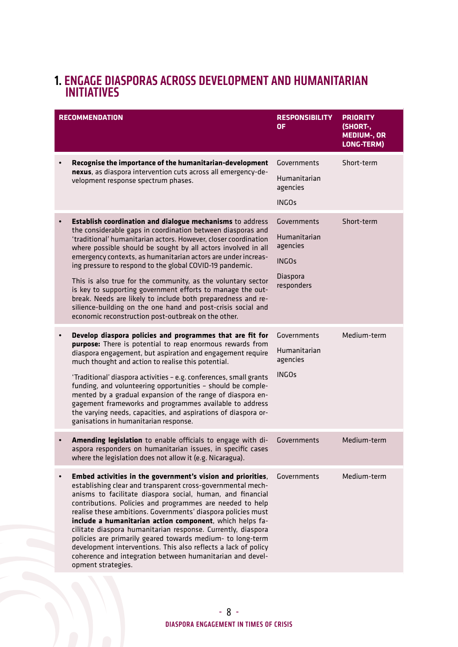#### 1. ENGAGE DIASPORAS ACROSS DEVELOPMENT AND HUMANITARIAN INITIATIVES

|           | <b>RECOMMENDATION</b>                                                                                                                                                                                                                                                                                                                                                                                                                                                                                                                                                                                                                                                                                          | <b>RESPONSIBILITY</b><br>ΟF                                                       | <b>PRIORITY</b><br>(SHORT-,<br><b>MEDIUM-, OR</b><br>LONG-TERM) |
|-----------|----------------------------------------------------------------------------------------------------------------------------------------------------------------------------------------------------------------------------------------------------------------------------------------------------------------------------------------------------------------------------------------------------------------------------------------------------------------------------------------------------------------------------------------------------------------------------------------------------------------------------------------------------------------------------------------------------------------|-----------------------------------------------------------------------------------|-----------------------------------------------------------------|
|           | Recognise the importance of the humanitarian-development<br>nexus, as diaspora intervention cuts across all emergency-de-<br>velopment response spectrum phases.                                                                                                                                                                                                                                                                                                                                                                                                                                                                                                                                               | Governments<br>Humanitarian<br>agencies<br><b>INGOs</b>                           | Short-term                                                      |
| $\bullet$ | Establish coordination and dialogue mechanisms to address<br>the considerable gaps in coordination between diasporas and<br>'traditional' humanitarian actors. However, closer coordination<br>where possible should be sought by all actors involved in all<br>emergency contexts, as humanitarian actors are under increas-<br>ing pressure to respond to the global COVID-19 pandemic.<br>This is also true for the community, as the voluntary sector<br>is key to supporting government efforts to manage the out-<br>break. Needs are likely to include both preparedness and re-<br>silience-building on the one hand and post-crisis social and<br>economic reconstruction post-outbreak on the other. | Governments<br>Humanitarian<br>agencies<br><b>INGOs</b><br>Diaspora<br>responders | Short-term                                                      |
| $\bullet$ | Develop diaspora policies and programmes that are fit for<br>purpose: There is potential to reap enormous rewards from<br>diaspora engagement, but aspiration and engagement require<br>much thought and action to realise this potential.<br>'Traditional' diaspora activities - e.g. conferences, small grants<br>funding, and volunteering opportunities - should be comple-<br>mented by a gradual expansion of the range of diaspora en-<br>gagement frameworks and programmes available to address<br>the varying needs, capacities, and aspirations of diaspora or-<br>ganisations in humanitarian response.                                                                                            | Governments<br>Humanitarian<br>agencies<br><b>INGOs</b>                           | Medium-term                                                     |
|           | Amending legislation to enable officials to engage with di-<br>aspora responders on humanitarian issues, in specific cases<br>where the legislation does not allow it (e.g. Nicaragua).                                                                                                                                                                                                                                                                                                                                                                                                                                                                                                                        | Governments                                                                       | Medium-term                                                     |
|           | Embed activities in the government's vision and priorities,<br>establishing clear and transparent cross-governmental mech-<br>anisms to facilitate diaspora social, human, and financial<br>contributions. Policies and programmes are needed to help<br>realise these ambitions. Governments' diaspora policies must<br>include a humanitarian action component, which helps fa-<br>cilitate diaspora humanitarian response. Currently, diaspora<br>policies are primarily geared towards medium- to long-term<br>development interventions. This also reflects a lack of policy<br>coherence and integration between humanitarian and devel-<br>opment strategies.                                           | Governments                                                                       | Medium-term                                                     |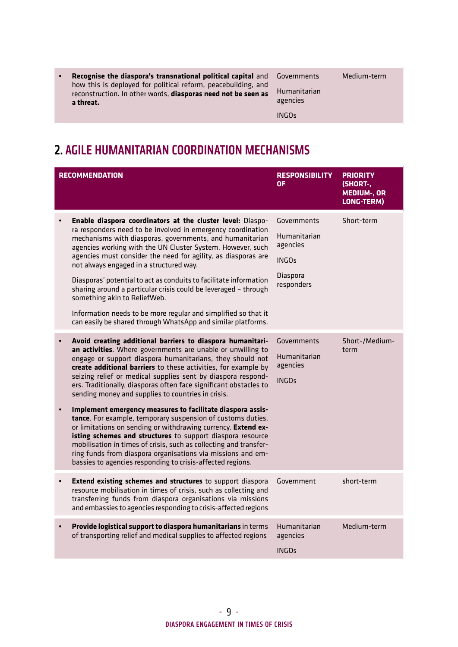| $\bullet$ | <b>Recognise the diaspora's transnational political capital and Governments</b><br>how this is deployed for political reform, peacebuilding, and<br>reconstruction. In other words, diasporas need not be seen as<br>a threat. | Humanitarian<br>agencies | Medium-term |
|-----------|--------------------------------------------------------------------------------------------------------------------------------------------------------------------------------------------------------------------------------|--------------------------|-------------|
|           |                                                                                                                                                                                                                                | <b>INGOs</b>             |             |

### 2. AGILE HUMANITARIAN COORDINATION MECHANISMS

|           | <b>RECOMMENDATION</b>                                                                                                                                                                                                                                                                                                                                                                                                                                                                                                                                                                                                                                                                                                                                                                                                                                                                                             | <b>RESPONSIBILITY</b><br><b>OF</b>                                                | <b>PRIORITY</b><br>(SHORT-,<br><b>MEDIUM-, OR</b><br>LONG-TERM) |
|-----------|-------------------------------------------------------------------------------------------------------------------------------------------------------------------------------------------------------------------------------------------------------------------------------------------------------------------------------------------------------------------------------------------------------------------------------------------------------------------------------------------------------------------------------------------------------------------------------------------------------------------------------------------------------------------------------------------------------------------------------------------------------------------------------------------------------------------------------------------------------------------------------------------------------------------|-----------------------------------------------------------------------------------|-----------------------------------------------------------------|
|           | Enable diaspora coordinators at the cluster level: Diaspo-<br>ra responders need to be involved in emergency coordination<br>mechanisms with diasporas, governments, and humanitarian<br>agencies working with the UN Cluster System. However, such<br>agencies must consider the need for agility, as diasporas are<br>not always engaged in a structured way.<br>Diasporas' potential to act as conduits to facilitate information<br>sharing around a particular crisis could be leveraged - through<br>something akin to ReliefWeb.<br>Information needs to be more regular and simplified so that it<br>can easily be shared through WhatsApp and similar platforms.                                                                                                                                                                                                                                         | Governments<br>Humanitarian<br>agencies<br><b>INGOs</b><br>Diaspora<br>responders | Short-term                                                      |
|           | Avoid creating additional barriers to diaspora humanitari-<br>an activities. Where governments are unable or unwilling to<br>engage or support diaspora humanitarians, they should not<br>create additional barriers to these activities, for example by<br>seizing relief or medical supplies sent by diaspora respond-<br>ers. Traditionally, diasporas often face significant obstacles to<br>sending money and supplies to countries in crisis.<br>Implement emergency measures to facilitate diaspora assis-<br>tance. For example, temporary suspension of customs duties,<br>or limitations on sending or withdrawing currency. Extend ex-<br>isting schemes and structures to support diaspora resource<br>mobilisation in times of crisis, such as collecting and transfer-<br>ring funds from diaspora organisations via missions and em-<br>bassies to agencies responding to crisis-affected regions. | Governments<br>Humanitarian<br>agencies<br><b>INGOs</b>                           | Short-/Medium-<br>term                                          |
|           | Extend existing schemes and structures to support diaspora<br>resource mobilisation in times of crisis, such as collecting and<br>transferring funds from diaspora organisations via missions<br>and embassies to agencies responding to crisis-affected regions                                                                                                                                                                                                                                                                                                                                                                                                                                                                                                                                                                                                                                                  | Government                                                                        | short-term                                                      |
| $\bullet$ | Provide logistical support to diaspora humanitarians in terms<br>of transporting relief and medical supplies to affected regions                                                                                                                                                                                                                                                                                                                                                                                                                                                                                                                                                                                                                                                                                                                                                                                  | Humanitarian<br>agencies<br><b>INGOs</b>                                          | Medium-term                                                     |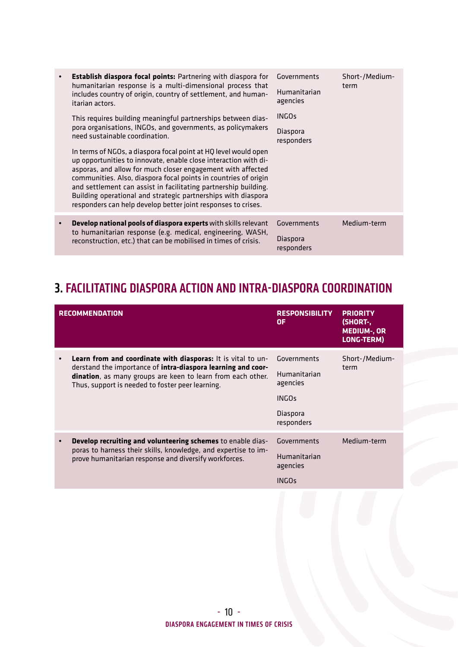| Establish diaspora focal points: Partnering with diaspora for<br>humanitarian response is a multi-dimensional process that<br>includes country of origin, country of settlement, and human-<br>itarian actors.<br>This requires building meaningful partnerships between dias-<br>pora organisations, INGOs, and governments, as policymakers<br>need sustainable coordination.<br>In terms of NGOs, a diaspora focal point at HQ level would open<br>up opportunities to innovate, enable close interaction with di-<br>asporas, and allow for much closer engagement with affected<br>communities. Also, diaspora focal points in countries of origin<br>and settlement can assist in facilitating partnership building.<br>Building operational and strategic partnerships with diaspora<br>responders can help develop better joint responses to crises. | Governments<br>Humanitarian<br>agencies<br><b>INGOs</b><br>Diaspora<br>responders | Short-/Medium-<br>term |
|--------------------------------------------------------------------------------------------------------------------------------------------------------------------------------------------------------------------------------------------------------------------------------------------------------------------------------------------------------------------------------------------------------------------------------------------------------------------------------------------------------------------------------------------------------------------------------------------------------------------------------------------------------------------------------------------------------------------------------------------------------------------------------------------------------------------------------------------------------------|-----------------------------------------------------------------------------------|------------------------|
| Develop national pools of diaspora experts with skills relevant<br>to humanitarian response (e.g. medical, engineering, WASH,<br>reconstruction, etc.) that can be mobilised in times of crisis.                                                                                                                                                                                                                                                                                                                                                                                                                                                                                                                                                                                                                                                             | Governments<br>Diaspora<br>responders                                             | Medium-term            |

### 3. FACILITATING DIASPORA ACTION AND INTRA-DIASPORA COORDINATION

| <b>RECOMMENDATION</b>                                                                                                                                                                                                                                  | <b>RESPONSIBILITY</b><br>0F                                                       | <b>PRIORITY</b><br>(SHORT-.<br><b>MEDIUM-, OR</b><br>LONG-TERM) |
|--------------------------------------------------------------------------------------------------------------------------------------------------------------------------------------------------------------------------------------------------------|-----------------------------------------------------------------------------------|-----------------------------------------------------------------|
| <b>Learn from and coordinate with diasporas:</b> It is vital to un-<br>derstand the importance of intra-diaspora learning and coor-<br>dination, as many groups are keen to learn from each other.<br>Thus, support is needed to foster peer learning. | Governments<br>Humanitarian<br>agencies<br><b>INGOs</b><br>Diaspora<br>responders | Short-/Medium-<br>term                                          |
| Develop recruiting and volunteering schemes to enable dias-<br>poras to harness their skills, knowledge, and expertise to im-<br>prove humanitarian response and diversify workforces.                                                                 | Governments<br>Humanitarian<br>agencies<br><b>INGOs</b>                           | Medium-term                                                     |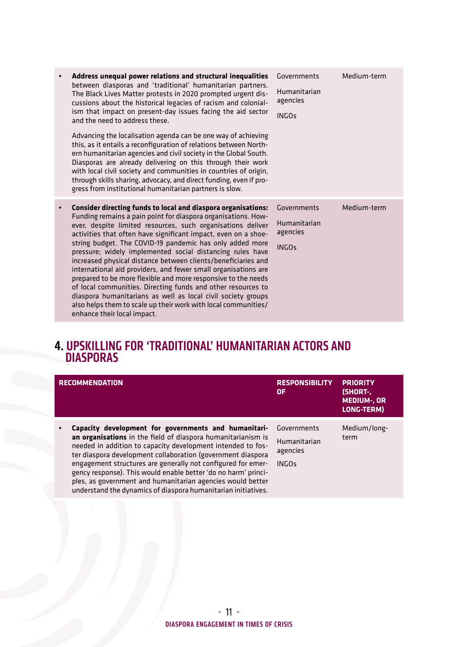|           | Address unequal power relations and structural inequalities<br>between diasporas and 'traditional' humanitarian partners.<br>The Black Lives Matter protests in 2020 prompted urgent dis-<br>cussions about the historical legacies of racism and colonial-<br>ism that impact on present-day issues facing the aid sector<br>and the need to address these.<br>Advancing the localisation agenda can be one way of achieving<br>this, as it entails a reconfiguration of relations between North-<br>ern humanitarian agencies and civil society in the Global South.<br>Diasporas are already delivering on this through their work<br>with local civil society and communities in countries of origin,<br>through skills sharing, advocacy, and direct funding, even if pro-<br>gress from institutional humanitarian partners is slow. | Governments<br>Humanitarian<br>agencies<br><b>INGOs</b> | Medium-term |
|-----------|--------------------------------------------------------------------------------------------------------------------------------------------------------------------------------------------------------------------------------------------------------------------------------------------------------------------------------------------------------------------------------------------------------------------------------------------------------------------------------------------------------------------------------------------------------------------------------------------------------------------------------------------------------------------------------------------------------------------------------------------------------------------------------------------------------------------------------------------|---------------------------------------------------------|-------------|
| $\bullet$ | Consider directing funds to local and diaspora organisations:<br>Funding remains a pain point for diaspora organisations. How-<br>ever, despite limited resources, such organisations deliver<br>activities that often have significant impact, even on a shoe-<br>string budget. The COVID-19 pandemic has only added more<br>pressure; widely implemented social distancing rules have<br>increased physical distance between clients/beneficiaries and<br>international aid providers, and fewer small organisations are<br>prepared to be more flexible and more responsive to the needs<br>of local communities. Directing funds and other resources to<br>diaspora humanitarians as well as local civil society groups<br>also helps them to scale up their work with local communities/<br>enhance their local impact.              | Governments<br>Humanitarian<br>agencies<br><b>INGOs</b> | Medium-term |

#### 4. UPSKILLING FOR 'TRADITIONAL' HUMANITARIAN ACTORS AND DIASPORAS

| <b>RECOMMENDATION</b>                                                                                                                                                                                                                                                                                                                                                                                                                                                                                               | <b>RESPONSIBILITY</b><br>0F                             | <b>PRIORITY</b><br>(SHORT-,<br><b>MEDIUM-, OR</b><br>LONG-TERM) |
|---------------------------------------------------------------------------------------------------------------------------------------------------------------------------------------------------------------------------------------------------------------------------------------------------------------------------------------------------------------------------------------------------------------------------------------------------------------------------------------------------------------------|---------------------------------------------------------|-----------------------------------------------------------------|
| Capacity development for governments and humanitari-<br>an organisations in the field of diaspora humanitarianism is<br>needed in addition to capacity development intended to fos-<br>ter diaspora development collaboration (government diaspora<br>engagement structures are generally not configured for emer-<br>gency response). This would enable better 'do no harm' princi-<br>ples, as government and humanitarian agencies would better<br>understand the dynamics of diaspora humanitarian initiatives. | Governments<br>Humanitarian<br>agencies<br><b>INGOs</b> | Medium/long-<br>term                                            |